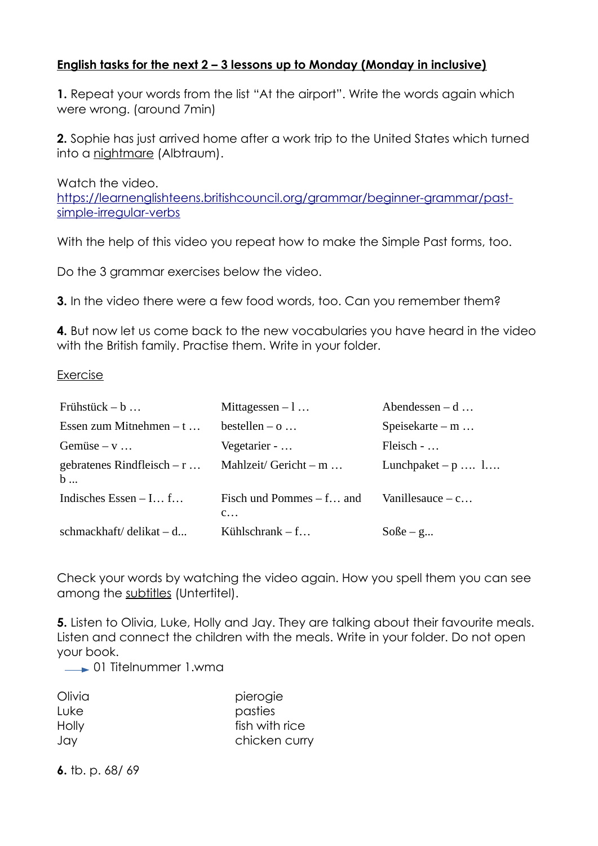## **English tasks for the next 2 – 3 lessons up to Monday (Monday in inclusive)**

**1.** Repeat your words from the list "At the airport". Write the words again which were wrong. (around 7min)

**2.** Sophie has just arrived home after a work trip to the United States which turned into a nightmare (Albtraum).

Watch the video. [https://learnenglishteens.britishcouncil.org/grammar/beginner-grammar/past](https://learnenglishteens.britishcouncil.org/grammar/beginner-grammar/past-simple-irregular-verbs)[simple-irregular-verbs](https://learnenglishteens.britishcouncil.org/grammar/beginner-grammar/past-simple-irregular-verbs)

With the help of this video you repeat how to make the Simple Past forms, too.

Do the 3 grammar exercises below the video.

**3.** In the video there were a few food words, too. Can you remember them?

**4.** But now let us come back to the new vocabularies you have heard in the video with the British family. Practise them. Write in your folder.

## Exercise

| Frühstück $-$ b $\ldots$          | Mittagessen $-1$                                    | Abendessen $-$ d $\ldots$ |
|-----------------------------------|-----------------------------------------------------|---------------------------|
| Essen zum Mitnehmen $- t \dots$   | bestellen $-$ 0 $\ldots$                            | Speisekarte – $m$         |
| Gemüse $-v \dots$                 | Vegetarier -                                        | Fleisch -                 |
| gebratenes Rindfleisch $-$ r<br>b | Mahlzeit/ Gericht $-m$                              | Lunchpaket $-p$ $l$       |
| Indisches Essen $-1$ f            | Fisch und Pommes $- f$ and<br>$C_{\cdot\cdot\cdot}$ | Vanillesauce $-$ c        |
| schmackhaft/ $delikat - d$        | Kühlschran $k - f$                                  | $S$ oße – g               |

Check your words by watching the video again. How you spell them you can see among the subtitles (Untertitel).

**5.** Listen to Olivia, Luke, Holly and Jay. They are talking about their favourite meals. Listen and connect the children with the meals. Write in your folder. Do not open your book.

**1** O1 Titelnummer 1.wma

| Olivia | pierogie       |  |
|--------|----------------|--|
| Luke   | pasties        |  |
| Holly  | fish with rice |  |
| Jay    | chicken curry  |  |

**6.** tb. p. 68/ 69